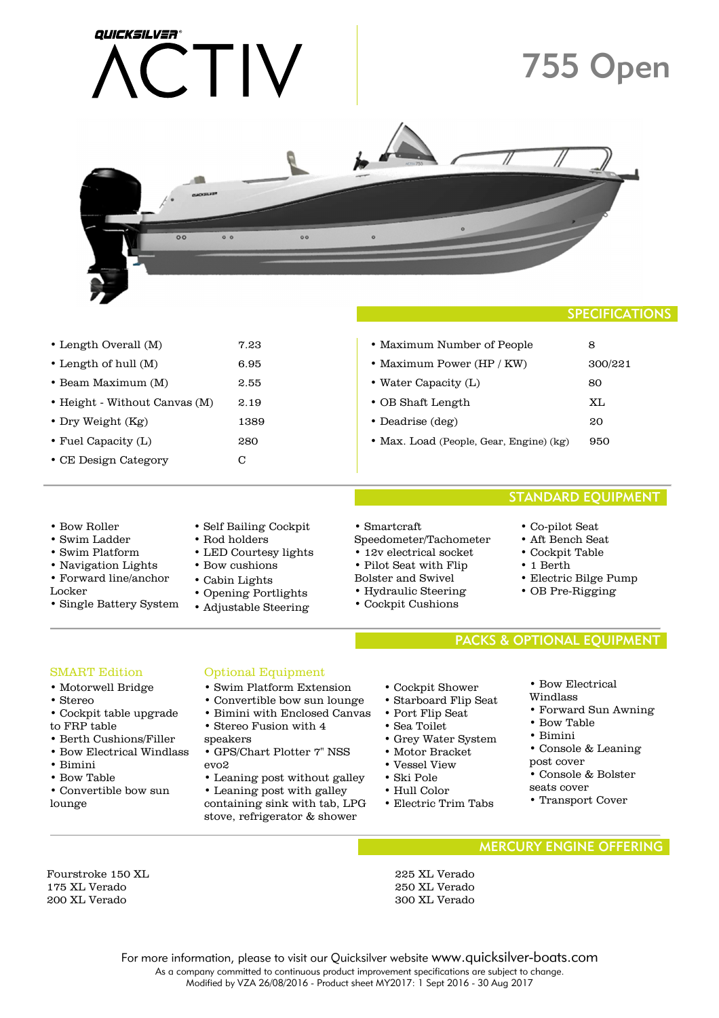| QUICKSILVER®                                                                                                                                                                                                                    |                                                                                                                                                                                                                                                                                                                                                 |                                                                                                                                                                                                |                                                                                                                                                                                                                                                                                           | <b>755 Open</b>                |
|---------------------------------------------------------------------------------------------------------------------------------------------------------------------------------------------------------------------------------|-------------------------------------------------------------------------------------------------------------------------------------------------------------------------------------------------------------------------------------------------------------------------------------------------------------------------------------------------|------------------------------------------------------------------------------------------------------------------------------------------------------------------------------------------------|-------------------------------------------------------------------------------------------------------------------------------------------------------------------------------------------------------------------------------------------------------------------------------------------|--------------------------------|
| $\circ$                                                                                                                                                                                                                         | <b>NACKSILVER</b><br>00<br>$^{\circ}$                                                                                                                                                                                                                                                                                                           | $\circ$                                                                                                                                                                                        |                                                                                                                                                                                                                                                                                           |                                |
|                                                                                                                                                                                                                                 |                                                                                                                                                                                                                                                                                                                                                 |                                                                                                                                                                                                |                                                                                                                                                                                                                                                                                           | <b>SPECIFICATIONS</b>          |
| • Length Overall (M)                                                                                                                                                                                                            | 7.23                                                                                                                                                                                                                                                                                                                                            |                                                                                                                                                                                                | • Maximum Number of People                                                                                                                                                                                                                                                                | 8                              |
| • Length of hull (M)                                                                                                                                                                                                            | 6.95                                                                                                                                                                                                                                                                                                                                            | • Maximum Power (HP / KW)                                                                                                                                                                      |                                                                                                                                                                                                                                                                                           | 300/221                        |
| · Beam Maximum (M)                                                                                                                                                                                                              | 2.55                                                                                                                                                                                                                                                                                                                                            | • Water Capacity (L)                                                                                                                                                                           |                                                                                                                                                                                                                                                                                           | 80                             |
| · Height - Without Canvas (M)<br>2.19                                                                                                                                                                                           |                                                                                                                                                                                                                                                                                                                                                 | • OB Shaft Length                                                                                                                                                                              |                                                                                                                                                                                                                                                                                           | ΧL                             |
| • Dry Weight (Kg)<br>1389                                                                                                                                                                                                       |                                                                                                                                                                                                                                                                                                                                                 | · Deadrise (deg)                                                                                                                                                                               |                                                                                                                                                                                                                                                                                           | 20                             |
| • Fuel Capacity (L)<br>280                                                                                                                                                                                                      |                                                                                                                                                                                                                                                                                                                                                 | · Max. Load (People, Gear, Engine) (kg)<br>950                                                                                                                                                 |                                                                                                                                                                                                                                                                                           |                                |
| • CE Design Category                                                                                                                                                                                                            | $\mathcal{C}$                                                                                                                                                                                                                                                                                                                                   |                                                                                                                                                                                                |                                                                                                                                                                                                                                                                                           |                                |
|                                                                                                                                                                                                                                 |                                                                                                                                                                                                                                                                                                                                                 |                                                                                                                                                                                                |                                                                                                                                                                                                                                                                                           | <b>STANDARD EQUIPMENT</b>      |
| • Bow Roller<br>• Swim Ladder<br>• Swim Platform<br>• Navigation Lights<br>• Forward line/anchor<br>Locker<br>• Single Battery System                                                                                           | • Self Bailing Cockpit<br>• Rod holders<br>• LED Courtesy lights<br>• Bow cushions<br>• Cabin Lights<br>• Opening Portlights<br>• Adjustable Steering                                                                                                                                                                                           |                                                                                                                                                                                                | • Smartcraft<br>• Co-pilot Seat<br>Speedometer/Tachometer<br>• Aft Bench Seat<br>• 12v electrical socket<br>• Cockpit Table<br>$\cdot$ 1 Berth<br>• Pilot Seat with Flip<br>Bolster and Swivel<br>• Electric Bilge Pump<br>• Hydraulic Steering<br>• OB Pre-Rigging<br>• Cockpit Cushions |                                |
|                                                                                                                                                                                                                                 |                                                                                                                                                                                                                                                                                                                                                 |                                                                                                                                                                                                |                                                                                                                                                                                                                                                                                           | PACKS & OPTIONAL EQUIPMENT     |
| <b>SMART Edition</b><br>• Motorwell Bridge<br>• Stereo<br>• Cockpit table upgrade<br>to FRP table<br>• Berth Cushions/Filler<br>• Bow Electrical Windlass<br>$\bullet$ Bimini<br>• Bow Table<br>• Convertible bow sun<br>lounge | <b>Optional Equipment</b><br>• Swim Platform Extension<br>• Convertible bow sun lounge<br>• Bimini with Enclosed Canvas<br>• Stereo Fusion with 4<br>speakers<br>• GPS/Chart Plotter 7" NSS<br>evo <sub>2</sub><br>• Leaning post without galley<br>• Leaning post with galley<br>containing sink with tab, LPG<br>stove, refrigerator & shower | • Cockpit Shower<br>• Starboard Flip Seat<br>• Port Flip Seat<br>• Sea Toilet<br>• Grey Water System<br>• Motor Bracket<br>• Vessel View<br>• Ski Pole<br>• Hull Color<br>• Electric Trim Tabs | • Bow Electrical<br>Windlass<br>• Forward Sun Awning<br>• Bow Table<br>• Bimini<br>• Console & Leaning<br>post cover<br>• Console & Bolster<br>seats cover<br>• Transport Cover                                                                                                           |                                |
|                                                                                                                                                                                                                                 |                                                                                                                                                                                                                                                                                                                                                 |                                                                                                                                                                                                |                                                                                                                                                                                                                                                                                           | <b>MERCURY ENGINE OFFERING</b> |
| Fourstroke 150 XL<br>175 XL Verado<br>200 XL Verado                                                                                                                                                                             |                                                                                                                                                                                                                                                                                                                                                 | 225 XL Verado<br>250 XL Verado<br>300 XL Verado                                                                                                                                                |                                                                                                                                                                                                                                                                                           |                                |

For more information, please to visit our Quicksilver website www.quicksilver-boats.com As a company committed to continuous product improvement specifications are subject to change. Modified by VZA 26/08/2016 - Product sheet MY2017: 1 Sept 2016 - 30 Aug 2017